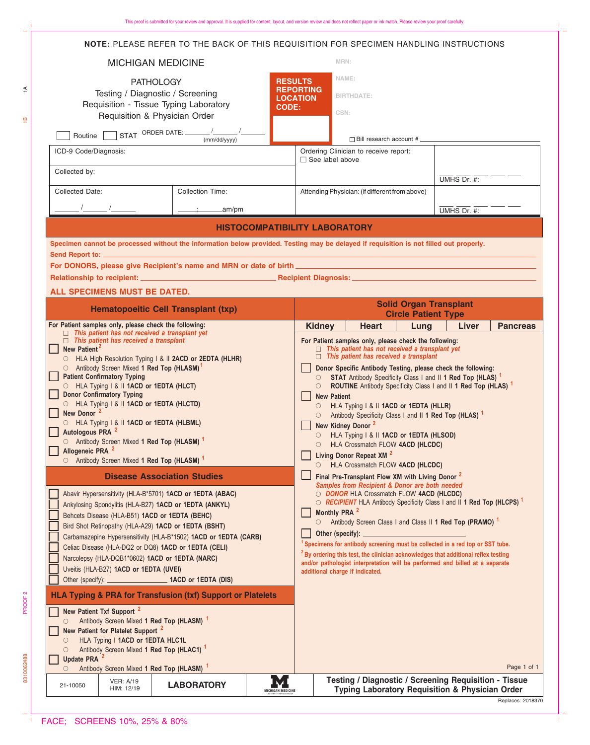|                                                                                                                                                                                                                                                                                                                                                                                                                                                                                                                                                                                                                                   | NOTE: PLEASE REFER TO THE BACK OF THIS REQUISITION FOR SPECIMEN HANDLING INSTRUCTIONS                                                  |                          |                                                                                                                                                                                                                                                                                                                                                                                                                         |                                                                                                                                |  |             |             |                                                                            |
|-----------------------------------------------------------------------------------------------------------------------------------------------------------------------------------------------------------------------------------------------------------------------------------------------------------------------------------------------------------------------------------------------------------------------------------------------------------------------------------------------------------------------------------------------------------------------------------------------------------------------------------|----------------------------------------------------------------------------------------------------------------------------------------|--------------------------|-------------------------------------------------------------------------------------------------------------------------------------------------------------------------------------------------------------------------------------------------------------------------------------------------------------------------------------------------------------------------------------------------------------------------|--------------------------------------------------------------------------------------------------------------------------------|--|-------------|-------------|----------------------------------------------------------------------------|
| <b>MICHIGAN MEDICINE</b>                                                                                                                                                                                                                                                                                                                                                                                                                                                                                                                                                                                                          |                                                                                                                                        |                          |                                                                                                                                                                                                                                                                                                                                                                                                                         | MRN:                                                                                                                           |  |             |             |                                                                            |
| <b>PATHOLOGY</b><br>Testing / Diagnostic / Screening                                                                                                                                                                                                                                                                                                                                                                                                                                                                                                                                                                              |                                                                                                                                        |                          | <b>RESULTS</b><br><b>REPORTING</b>                                                                                                                                                                                                                                                                                                                                                                                      | NAME:<br><b>BIRTHDATE:</b>                                                                                                     |  |             |             |                                                                            |
| Requisition - Tissue Typing Laboratory<br><b>CODE:</b><br>Requisition & Physician Order                                                                                                                                                                                                                                                                                                                                                                                                                                                                                                                                           |                                                                                                                                        |                          | <b>LOCATION</b><br>CSN:                                                                                                                                                                                                                                                                                                                                                                                                 |                                                                                                                                |  |             |             |                                                                            |
| STAT ORDER DATE: $\frac{1}{(mm/dd/yyyy)}$<br>Routine                                                                                                                                                                                                                                                                                                                                                                                                                                                                                                                                                                              |                                                                                                                                        |                          | $\Box$ Bill research account # $\Box$                                                                                                                                                                                                                                                                                                                                                                                   |                                                                                                                                |  |             |             |                                                                            |
| ICD-9 Code/Diagnosis:                                                                                                                                                                                                                                                                                                                                                                                                                                                                                                                                                                                                             |                                                                                                                                        |                          | Ordering Clinician to receive report:<br>$\Box$ See label above                                                                                                                                                                                                                                                                                                                                                         |                                                                                                                                |  |             |             |                                                                            |
| Collected by:                                                                                                                                                                                                                                                                                                                                                                                                                                                                                                                                                                                                                     |                                                                                                                                        |                          |                                                                                                                                                                                                                                                                                                                                                                                                                         |                                                                                                                                |  | UMHS Dr. #: |             |                                                                            |
| Collected Date:                                                                                                                                                                                                                                                                                                                                                                                                                                                                                                                                                                                                                   | <b>Collection Time:</b>                                                                                                                |                          | Attending Physician: (if different from above)                                                                                                                                                                                                                                                                                                                                                                          |                                                                                                                                |  |             |             |                                                                            |
|                                                                                                                                                                                                                                                                                                                                                                                                                                                                                                                                                                                                                                   | _am/pm                                                                                                                                 |                          |                                                                                                                                                                                                                                                                                                                                                                                                                         |                                                                                                                                |  | UMHS Dr. #: |             |                                                                            |
| <b>HISTOCOMPATIBILITY LABORATORY</b>                                                                                                                                                                                                                                                                                                                                                                                                                                                                                                                                                                                              |                                                                                                                                        |                          |                                                                                                                                                                                                                                                                                                                                                                                                                         |                                                                                                                                |  |             |             |                                                                            |
|                                                                                                                                                                                                                                                                                                                                                                                                                                                                                                                                                                                                                                   | Specimen cannot be processed without the information below provided. Testing may be delayed if requisition is not filled out properly. |                          |                                                                                                                                                                                                                                                                                                                                                                                                                         |                                                                                                                                |  |             |             |                                                                            |
|                                                                                                                                                                                                                                                                                                                                                                                                                                                                                                                                                                                                                                   | For DONORS, please give Recipient's name and MRN or date of birth <b>Change and Science Control of the Control of A</b>                |                          |                                                                                                                                                                                                                                                                                                                                                                                                                         |                                                                                                                                |  |             |             |                                                                            |
|                                                                                                                                                                                                                                                                                                                                                                                                                                                                                                                                                                                                                                   |                                                                                                                                        |                          |                                                                                                                                                                                                                                                                                                                                                                                                                         |                                                                                                                                |  |             |             |                                                                            |
| ALL SPECIMENS MUST BE DATED.<br><b>Solid Organ Transplant</b>                                                                                                                                                                                                                                                                                                                                                                                                                                                                                                                                                                     |                                                                                                                                        |                          |                                                                                                                                                                                                                                                                                                                                                                                                                         |                                                                                                                                |  |             |             |                                                                            |
| <b>Hematopoeitic Cell Transplant (txp)</b>                                                                                                                                                                                                                                                                                                                                                                                                                                                                                                                                                                                        |                                                                                                                                        |                          | <b>Circle Patient Type</b>                                                                                                                                                                                                                                                                                                                                                                                              |                                                                                                                                |  |             |             |                                                                            |
| For Patient samples only, please check the following:<br>$\Box$ This patient has not received a transplant yet<br>$\Box$ This patient has received a transplant<br>New Patient <sup>2</sup><br>HLA High Resolution Typing I & II 2ACD or 2EDTA (HLHR)<br>○ Antibody Screen Mixed 1 Red Top (HLASM) <sup>1</sup><br><b>Patient Confirmatory Typing</b><br>HLA Typing I & II 1ACD or 1EDTA (HLCT)<br><b>Donor Confirmatory Typing</b><br>HLA Typing   &    1ACD or 1EDTA (HLCTD)<br>New Donor <sup>2</sup><br>HLA Typing   &    1ACD or 1EDTA (HLBML)<br>Autologous PRA <sup>2</sup><br>O Antibody Screen Mixed 1 Red Top (HLASM) 1 |                                                                                                                                        |                          | Liver<br><b>Pancreas</b><br><b>Kidney</b><br><b>Heart</b><br>Lung<br>For Patient samples only, please check the following:<br>$\Box$ This patient has not received a transplant yet<br>$\Box$ This patient has received a transplant                                                                                                                                                                                    |                                                                                                                                |  |             |             |                                                                            |
|                                                                                                                                                                                                                                                                                                                                                                                                                                                                                                                                                                                                                                   |                                                                                                                                        |                          | Donor Specific Antibody Testing, please check the following:<br>○ STAT Antibody Specificity Class I and II 1 Red Top (HLAS) 1<br>ROUTINE Antibody Specificity Class I and II 1 Red Top (HLAS) 1<br>$\circ$<br><b>New Patient</b><br>HLA Typing I & II 1ACD or 1EDTA (HLLR)<br>○ Antibody Specificity Class I and II 1 Red Top (HLAS) 1<br>New Kidney Donor <sup>2</sup><br>HLA Typing I & II 1ACD or 1EDTA (HLSOD)<br>О |                                                                                                                                |  |             |             |                                                                            |
|                                                                                                                                                                                                                                                                                                                                                                                                                                                                                                                                                                                                                                   |                                                                                                                                        |                          |                                                                                                                                                                                                                                                                                                                                                                                                                         |                                                                                                                                |  |             |             | Allogeneic PRA <sup>2</sup><br>○ Antibody Screen Mixed 1 Red Top (HLASM) 1 |
| <b>Disease Association Studies</b>                                                                                                                                                                                                                                                                                                                                                                                                                                                                                                                                                                                                |                                                                                                                                        |                          |                                                                                                                                                                                                                                                                                                                                                                                                                         | Final Pre-Transplant Flow XM with Living Donor <sup>2</sup><br>Samples from Recipient & Donor are both needed                  |  |             |             |                                                                            |
| Abavir Hypersensitivity (HLA-B*5701) 1ACD or 1EDTA (ABAC)<br>Ankylosing Spondylitis (HLA-B27) 1ACD or 1EDTA (ANKYL)                                                                                                                                                                                                                                                                                                                                                                                                                                                                                                               |                                                                                                                                        |                          |                                                                                                                                                                                                                                                                                                                                                                                                                         | O DONOR HLA Crossmatch FLOW 4ACD (HLCDC)<br>○ RECIPIENT HLA Antibody Specificity Class I and II 1 Red Top (HLCPS) <sup>1</sup> |  |             |             |                                                                            |
| Behcets Disease (HLA-B51) 1ACD or 1EDTA (BEHC)<br>Bird Shot Retinopathy (HLA-A29) 1ACD or 1EDTA (BSHT)                                                                                                                                                                                                                                                                                                                                                                                                                                                                                                                            |                                                                                                                                        |                          | Monthly PRA <sup>2</sup><br>○ Antibody Screen Class I and Class II 1 Red Top (PRAMO) 1                                                                                                                                                                                                                                                                                                                                  |                                                                                                                                |  |             |             |                                                                            |
| Carbamazepine Hypersensitivity (HLA-B*1502) 1ACD or 1EDTA (CARB)<br>Celiac Disease (HLA-DQ2 or DQ8) 1ACD or 1EDTA (CELI)                                                                                                                                                                                                                                                                                                                                                                                                                                                                                                          |                                                                                                                                        |                          | Specimens for antibody screening must be collected in a red top or SST tube.                                                                                                                                                                                                                                                                                                                                            |                                                                                                                                |  |             |             |                                                                            |
| Narcolepsy (HLA-DQB1*0602) 1ACD or 1EDTA (NARC)<br>Uveitis (HLA-B27) 1ACD or 1EDTA (UVEI)                                                                                                                                                                                                                                                                                                                                                                                                                                                                                                                                         |                                                                                                                                        |                          | <sup>2</sup> By ordering this test, the clinician acknowledges that additional reflex testing<br>and/or pathologist interpretation will be performed and billed at a separate                                                                                                                                                                                                                                           |                                                                                                                                |  |             |             |                                                                            |
|                                                                                                                                                                                                                                                                                                                                                                                                                                                                                                                                                                                                                                   |                                                                                                                                        |                          |                                                                                                                                                                                                                                                                                                                                                                                                                         | additional charge if indicated.                                                                                                |  |             |             |                                                                            |
|                                                                                                                                                                                                                                                                                                                                                                                                                                                                                                                                                                                                                                   | <b>HLA Typing &amp; PRA for Transfusion (txf) Support or Platelets</b>                                                                 |                          |                                                                                                                                                                                                                                                                                                                                                                                                                         |                                                                                                                                |  |             |             |                                                                            |
| New Patient Txf Support <sup>2</sup>                                                                                                                                                                                                                                                                                                                                                                                                                                                                                                                                                                                              |                                                                                                                                        |                          |                                                                                                                                                                                                                                                                                                                                                                                                                         |                                                                                                                                |  |             |             |                                                                            |
| Antibody Screen Mixed 1 Red Top (HLASM) <sup>1</sup><br>$\circ$<br>New Patient for Platelet Support <sup>2</sup>                                                                                                                                                                                                                                                                                                                                                                                                                                                                                                                  |                                                                                                                                        |                          |                                                                                                                                                                                                                                                                                                                                                                                                                         |                                                                                                                                |  |             |             |                                                                            |
| HLA Typing I 1ACD or 1EDTA HLC1L<br>O<br>O                                                                                                                                                                                                                                                                                                                                                                                                                                                                                                                                                                                        | Antibody Screen Mixed 1 Red Top (HLAC1) <sup>1</sup>                                                                                   |                          |                                                                                                                                                                                                                                                                                                                                                                                                                         |                                                                                                                                |  |             |             |                                                                            |
| <b>Update PRA</b><br>$\bigcirc$                                                                                                                                                                                                                                                                                                                                                                                                                                                                                                                                                                                                   | Antibody Screen Mixed 1 Red Top (HLASM) <sup>1</sup>                                                                                   |                          |                                                                                                                                                                                                                                                                                                                                                                                                                         |                                                                                                                                |  |             | Page 1 of 1 |                                                                            |
| <b>VER: A/19</b><br>21-10050<br>HIM: 12/19                                                                                                                                                                                                                                                                                                                                                                                                                                                                                                                                                                                        | <b>LABORATORY</b>                                                                                                                      | <b>MICHIGAN MEDICINE</b> |                                                                                                                                                                                                                                                                                                                                                                                                                         | <b>Testing / Diagnostic / Screening Requisition - Tissue</b><br><b>Typing Laboratory Requisition &amp; Physician Order</b>     |  |             |             |                                                                            |

 $\Box$ Replaces: 2018370

> $\overline{\phantom{a}}$  $\mathbf{I}$

 $\mathbf{I}$ 

 $\frac{\omega}{\pi}$ 

 $\widetilde{\div}$ 

8310062488 PROOF2<br>8310062488

PROOF 2

8310062488